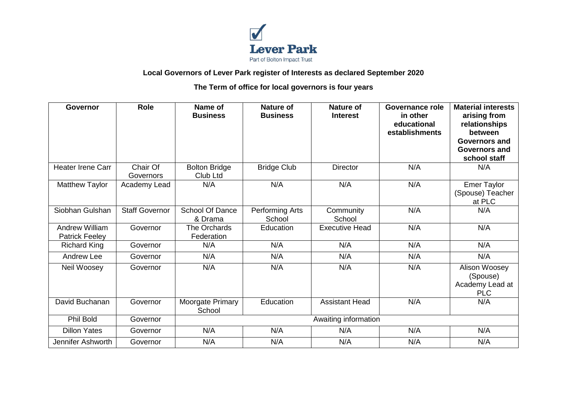

## **Local Governors of Lever Park register of Interests as declared September 2020**

## **The Term of office for local governors is four years**

| Governor                                       | <b>Role</b>           | Name of<br><b>Business</b>        | <b>Nature of</b><br><b>Business</b> | <b>Nature of</b><br><b>Interest</b> | <b>Governance role</b><br>in other<br>educational<br>establishments | <b>Material interests</b><br>arising from<br>relationships<br>between<br>Governors and<br><b>Governors and</b><br>school staff |  |  |
|------------------------------------------------|-----------------------|-----------------------------------|-------------------------------------|-------------------------------------|---------------------------------------------------------------------|--------------------------------------------------------------------------------------------------------------------------------|--|--|
| <b>Heater Irene Carr</b>                       | Chair Of<br>Governors | <b>Bolton Bridge</b><br>Club Ltd  | <b>Bridge Club</b>                  | <b>Director</b>                     | N/A                                                                 | N/A                                                                                                                            |  |  |
| <b>Matthew Taylor</b>                          | Academy Lead          | N/A                               | N/A                                 | N/A                                 | N/A                                                                 | <b>Emer Taylor</b><br>(Spouse) Teacher<br>at PLC                                                                               |  |  |
| Siobhan Gulshan                                | <b>Staff Governor</b> | <b>School Of Dance</b><br>& Drama | Performing Arts<br>School           | Community<br>School                 | N/A                                                                 | N/A                                                                                                                            |  |  |
| <b>Andrew William</b><br><b>Patrick Feeley</b> | Governor              | The Orchards<br>Federation        | Education                           | <b>Executive Head</b>               | N/A                                                                 | N/A                                                                                                                            |  |  |
| <b>Richard King</b>                            | Governor              | N/A                               | N/A                                 | N/A                                 | N/A                                                                 | N/A                                                                                                                            |  |  |
| <b>Andrew Lee</b>                              | Governor              | N/A                               | N/A                                 | N/A                                 | N/A                                                                 | N/A                                                                                                                            |  |  |
| Neil Woosey                                    | Governor              | N/A                               | N/A                                 | N/A                                 | N/A                                                                 | Alison Woosey<br>(Spouse)<br>Academy Lead at<br><b>PLC</b>                                                                     |  |  |
| David Buchanan                                 | Governor              | Moorgate Primary<br>School        | Education                           | <b>Assistant Head</b>               | N/A                                                                 | N/A                                                                                                                            |  |  |
| Phil Bold                                      | Governor              | Awaiting information              |                                     |                                     |                                                                     |                                                                                                                                |  |  |
| <b>Dillon Yates</b>                            | Governor              | N/A                               | N/A                                 | N/A                                 | N/A                                                                 | N/A                                                                                                                            |  |  |
| Jennifer Ashworth                              | Governor              | N/A                               | N/A                                 | N/A                                 | N/A                                                                 | N/A                                                                                                                            |  |  |